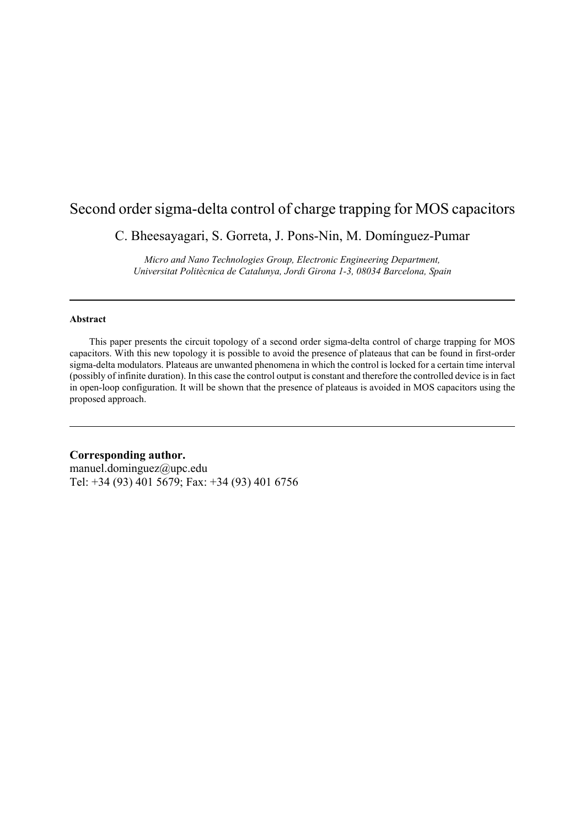## Second order sigma-delta control of charge trapping for MOS capacitors

C. Bheesayagari, S. Gorreta, J. Pons-Nin, M. Domínguez-Pumar

*Micro and Nano Technologies Group, Electronic Engineering Department, Universitat Politècnica de Catalunya, Jordi Girona 1-3, 08034 Barcelona, Spain*

#### **Abstract**

 This paper presents the circuit topology of a second order sigma-delta control of charge trapping for MOS capacitors. With this new topology it is possible to avoid the presence of plateaus that can be found in first-order sigma-delta modulators. Plateaus are unwanted phenomena in which the control is locked for a certain time interval (possibly of infinite duration). In this case the control output is constant and therefore the controlled device is in fact in open-loop configuration. It will be shown that the presence of plateaus is avoided in MOS capacitors using the proposed approach.

### **Corresponding author.**

manuel.dominguez@upc.edu Tel: +34 (93) 401 5679; Fax: +34 (93) 401 6756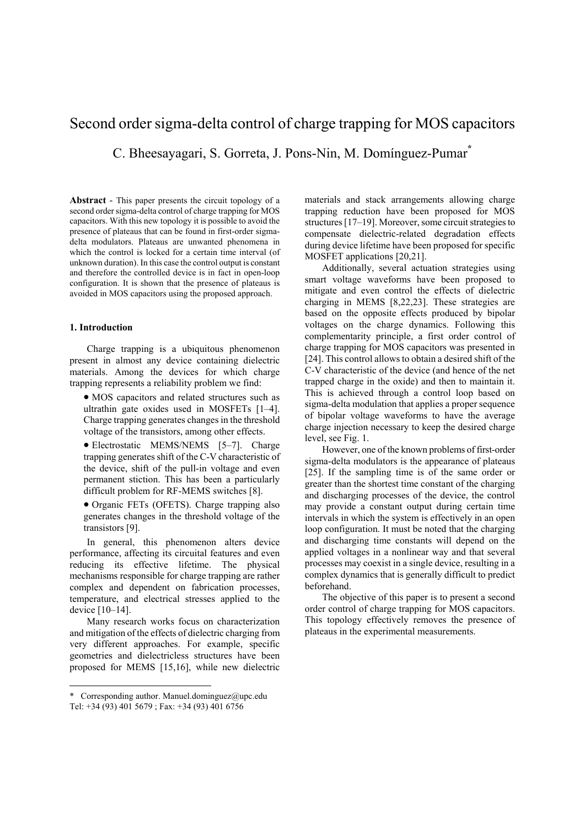# Second order sigma-delta control of charge trapping for MOS capacitors C. Bheesayagari, S. Gorreta, J. Pons-Nin, M. Domínguez-Pumar**\***

**Abstract** - This paper presents the circuit topology of a second order sigma-delta control of charge trapping for MOS capacitors. With this new topology it is possible to avoid the presence of plateaus that can be found in first-order sigmadelta modulators. Plateaus are unwanted phenomena in which the control is locked for a certain time interval (of unknown duration). In this case the control output is constant and therefore the controlled device is in fact in open-loop configuration. It is shown that the presence of plateaus is avoided in MOS capacitors using the proposed approach.

#### **1. Introduction**

<u>.</u>

Charge trapping is a ubiquitous phenomenon present in almost any device containing dielectric materials. Among the devices for which charge trapping represents a reliability problem we find:

- MOS capacitors and related structures such as ultrathin gate oxides used in MOSFETs [1–4]. Charge trapping generates changes in the threshold voltage of the transistors, among other effects.
- Electrostatic MEMS/NEMS [5–7]. Charge trapping generates shift of the C-V characteristic of the device, shift of the pull-in voltage and even permanent stiction. This has been a particularly difficult problem for RF-MEMS switches [8].
- Organic FETs (OFETS). Charge trapping also generates changes in the threshold voltage of the transistors [9].

In general, this phenomenon alters device performance, affecting its circuital features and even reducing its effective lifetime. The physical mechanisms responsible for charge trapping are rather complex and dependent on fabrication processes, temperature, and electrical stresses applied to the device [10–14].

Many research works focus on characterization and mitigation of the effects of dielectric charging from very different approaches. For example, specific geometries and dielectricless structures have been proposed for MEMS [15,16], while new dielectric

materials and stack arrangements allowing charge trapping reduction have been proposed for MOS structures [17–19]. Moreover, some circuit strategies to compensate dielectric-related degradation effects during device lifetime have been proposed for specific MOSFET applications [20,21].

Additionally, several actuation strategies using smart voltage waveforms have been proposed to mitigate and even control the effects of dielectric charging in MEMS [8,22,23]. These strategies are based on the opposite effects produced by bipolar voltages on the charge dynamics. Following this complementarity principle, a first order control of charge trapping for MOS capacitors was presented in [24]. This control allows to obtain a desired shift of the C-V characteristic of the device (and hence of the net trapped charge in the oxide) and then to maintain it. This is achieved through a control loop based on sigma-delta modulation that applies a proper sequence of bipolar voltage waveforms to have the average charge injection necessary to keep the desired charge level, see Fig. 1.

However, one of the known problems of first-order sigma-delta modulators is the appearance of plateaus [25]. If the sampling time is of the same order or greater than the shortest time constant of the charging and discharging processes of the device, the control may provide a constant output during certain time intervals in which the system is effectively in an open loop configuration. It must be noted that the charging and discharging time constants will depend on the applied voltages in a nonlinear way and that several processes may coexist in a single device, resulting in a complex dynamics that is generally difficult to predict beforehand.

The objective of this paper is to present a second order control of charge trapping for MOS capacitors. This topology effectively removes the presence of plateaus in the experimental measurements.

<sup>\*</sup> Corresponding author. Manuel.dominguez@upc.edu Tel: +34 (93) 401 5679 ; Fax: +34 (93) 401 6756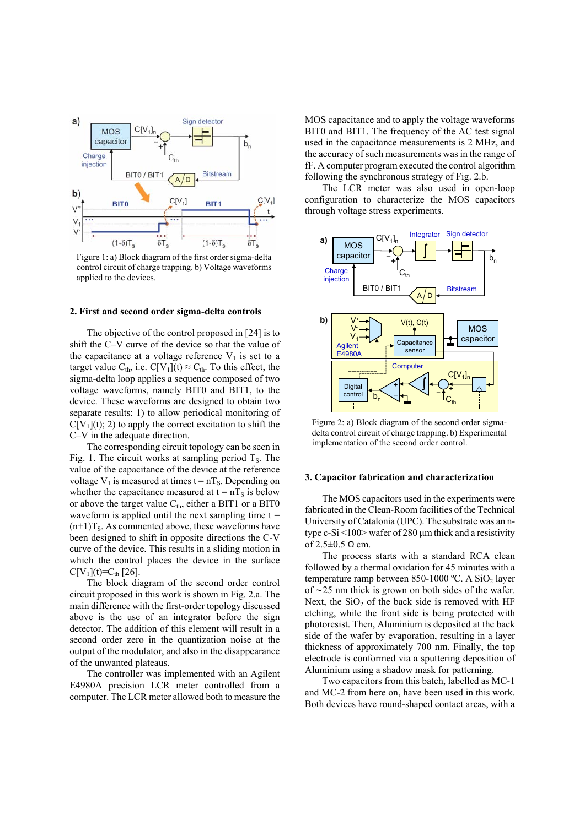

Figure 1: a) Block diagram of the first order sigma-delta control circuit of charge trapping. b) Voltage waveforms applied to the devices.

#### **2. First and second order sigma-delta controls**

The objective of the control proposed in [24] is to shift the C–V curve of the device so that the value of the capacitance at a voltage reference  $V_1$  is set to a target value C<sub>th</sub>, i.e. C[V<sub>1</sub>](t)  $\approx$  C<sub>th</sub>. To this effect, the sigma-delta loop applies a sequence composed of two voltage waveforms, namely BIT0 and BIT1, to the device. These waveforms are designed to obtain two separate results: 1) to allow periodical monitoring of  $C[V_1](t)$ ; 2) to apply the correct excitation to shift the C–V in the adequate direction.

The corresponding circuit topology can be seen in Fig. 1. The circuit works at sampling period  $T_s$ . The value of the capacitance of the device at the reference voltage  $V_1$  is measured at times  $t = nT_S$ . Depending on whether the capacitance measured at  $t = nT<sub>S</sub>$  is below or above the target value  $C_{th}$ , either a BIT1 or a BIT0 waveform is applied until the next sampling time  $t =$  $(n+1)T<sub>S</sub>$ . As commented above, these waveforms have been designed to shift in opposite directions the C-V curve of the device. This results in a sliding motion in which the control places the device in the surface  $C[V_1](t)=C_{th}$  [26].

The block diagram of the second order control circuit proposed in this work is shown in Fig. 2.a. The main difference with the first-order topology discussed above is the use of an integrator before the sign detector. The addition of this element will result in a second order zero in the quantization noise at the output of the modulator, and also in the disappearance of the unwanted plateaus.

The controller was implemented with an Agilent E4980A precision LCR meter controlled from a computer. The LCR meter allowed both to measure the MOS capacitance and to apply the voltage waveforms BIT0 and BIT1. The frequency of the AC test signal used in the capacitance measurements is 2 MHz, and the accuracy of such measurements was in the range of fF. A computer program executed the control algorithm following the synchronous strategy of Fig. 2.b.

The LCR meter was also used in open-loop configuration to characterize the MOS capacitors through voltage stress experiments.



Figure 2: a) Block diagram of the second order sigmadelta control circuit of charge trapping. b) Experimental implementation of the second order control.

#### **3. Capacitor fabrication and characterization**

The MOS capacitors used in the experiments were fabricated in the Clean-Room facilities of the Technical University of Catalonia (UPC). The substrate was an ntype c-Si  $\leq$ 100 $\geq$  wafer of 280 µm thick and a resistivity of  $2.5\pm0.5$  Q cm.

The process starts with a standard RCA clean followed by a thermal oxidation for 45 minutes with a temperature ramp between 850-1000 °C. A SiO<sub>2</sub> layer of ∼25 nm thick is grown on both sides of the wafer. Next, the  $SiO<sub>2</sub>$  of the back side is removed with HF etching, while the front side is being protected with photoresist. Then, Aluminium is deposited at the back side of the wafer by evaporation, resulting in a layer thickness of approximately 700 nm. Finally, the top electrode is conformed via a sputtering deposition of Aluminium using a shadow mask for patterning.

Two capacitors from this batch, labelled as MC-1 and MC-2 from here on, have been used in this work. Both devices have round-shaped contact areas, with a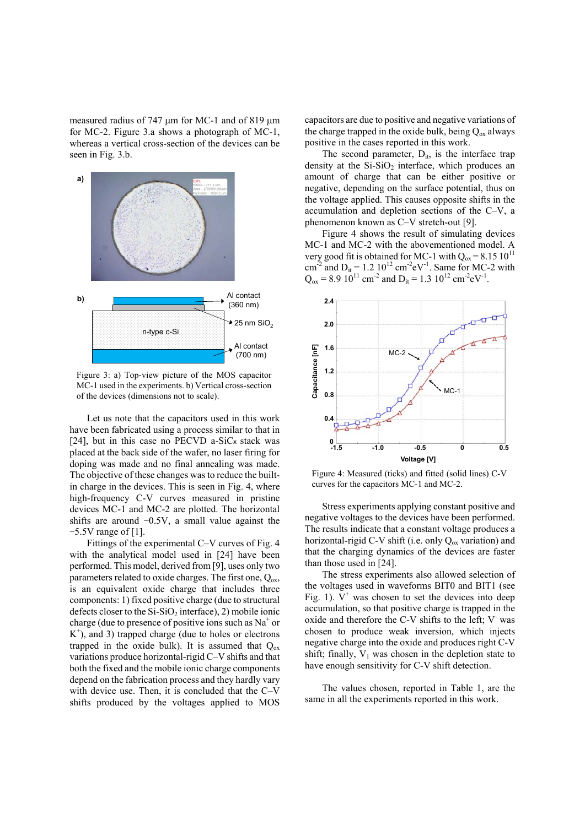measured radius of 747  $\mu$ m for MC-1 and of 819  $\mu$ m for MC-2. Figure 3.a shows a photograph of MC-1, whereas a vertical cross-section of the devices can be seen in Fig. 3.b.



Figure 3: a) Top-view picture of the MOS capacitor MC-1 used in the experiments. b) Vertical cross-section of the devices (dimensions not to scale).

Let us note that the capacitors used in this work have been fabricated using a process similar to that in [24], but in this case no PECVD a-SiC<sub>x</sub> stack was placed at the back side of the wafer, no laser firing for doping was made and no final annealing was made. The objective of these changes was to reduce the builtin charge in the devices. This is seen in Fig. 4, where high-frequency C-V curves measured in pristine devices MC-1 and MC-2 are plotted. The horizontal shifts are around −0.5V, a small value against the −5.5V range of [1].

Fittings of the experimental C–V curves of Fig. 4 with the analytical model used in [24] have been performed. This model, derived from [9], uses only two parameters related to oxide charges. The first one,  $Q_{ox}$ , is an equivalent oxide charge that includes three components: 1) fixed positive charge (due to structural defects closer to the  $Si-SiO<sub>2</sub>$  interface), 2) mobile ionic charge (due to presence of positive ions such as  $Na<sup>+</sup>$  or  $K^+$ ), and 3) trapped charge (due to holes or electrons trapped in the oxide bulk). It is assumed that  $Q_{\text{ox}}$ variations produce horizontal-rigid C–V shifts and that both the fixed and the mobile ionic charge components depend on the fabrication process and they hardly vary with device use. Then, it is concluded that the C–V shifts produced by the voltages applied to MOS

capacitors are due to positive and negative variations of the charge trapped in the oxide bulk, being  $Q_{ox}$  always positive in the cases reported in this work.

The second parameter,  $D_{it}$ , is the interface trap density at the  $Si-SiO<sub>2</sub>$  interface, which produces an amount of charge that can be either positive or negative, depending on the surface potential, thus on the voltage applied. This causes opposite shifts in the accumulation and depletion sections of the C–V, a phenomenon known as C–V stretch-out [9].

Figure 4 shows the result of simulating devices MC-1 and MC-2 with the abovementioned model. A very good fit is obtained for MC-1 with  $Q_{ox} = 8.15 \cdot 10^{11}$ cm<sup>-2</sup> and D<sub>it</sub> = 1.2 10<sup>12</sup> cm<sup>-2</sup>eV<sup>-1</sup>. Same for MC-2 with  $Q_{ox} = 8.9 10^{11}$  cm<sup>-2</sup> and D<sub>it</sub> = 1.3 10<sup>12</sup> cm<sup>-2</sup>eV<sup>-1</sup>.



Figure 4: Measured (ticks) and fitted (solid lines) C-V curves for the capacitors MC-1 and MC-2.

Stress experiments applying constant positive and negative voltages to the devices have been performed. The results indicate that a constant voltage produces a horizontal-rigid C-V shift (i.e. only  $Q_{ox}$  variation) and that the charging dynamics of the devices are faster than those used in [24].

The stress experiments also allowed selection of the voltages used in waveforms BIT0 and BIT1 (see Fig. 1).  $V^+$  was chosen to set the devices into deep accumulation, so that positive charge is trapped in the oxide and therefore the C-V shifts to the left; V was chosen to produce weak inversion, which injects negative charge into the oxide and produces right C-V shift; finally,  $V_1$  was chosen in the depletion state to have enough sensitivity for C-V shift detection.

The values chosen, reported in Table 1, are the same in all the experiments reported in this work.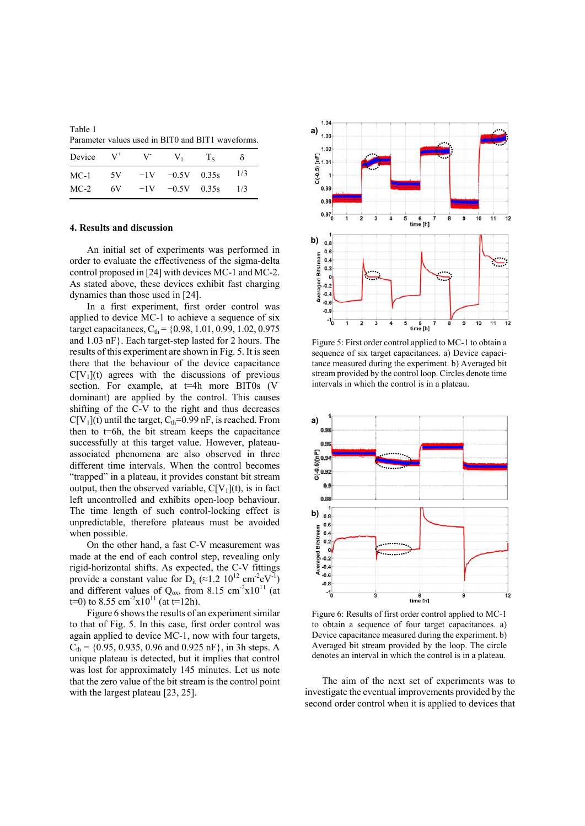Table 1 Parameter values used in BIT0 and BIT1 waveforms.

| Device $V^+$ | $V^-$ | $V_1$                | $T_{\rm s}$ | δ   |
|--------------|-------|----------------------|-------------|-----|
| MC-1         |       | $5V -1V -0.5V 0.35s$ |             | 1/3 |
| $MC-2$       |       | $6V -1V -0.5V 0.35s$ |             | 1/3 |

#### **4. Results and discussion**

An initial set of experiments was performed in order to evaluate the effectiveness of the sigma-delta control proposed in [24] with devices MC-1 and MC-2. As stated above, these devices exhibit fast charging dynamics than those used in [24].

In a first experiment, first order control was applied to device MC-1 to achieve a sequence of six target capacitances,  $C_{\text{th}}$  = {0.98, 1.01, 0.99, 1.02, 0.975 and 1.03 nF}. Each target-step lasted for 2 hours. The results of this experiment are shown in Fig. 5. It is seen there that the behaviour of the device capacitance  $C[V_1](t)$  agrees with the discussions of previous section. For example, at t=4h more BIT0s (V dominant) are applied by the control. This causes shifting of the C-V to the right and thus decreases  $C[V_1](t)$  until the target,  $C_{th} = 0.99$  nF, is reached. From then to  $t=6h$ , the bit stream keeps the capacitance successfully at this target value. However, plateauassociated phenomena are also observed in three different time intervals. When the control becomes "trapped" in a plateau, it provides constant bit stream output, then the observed variable,  $C[V_1](t)$ , is in fact left uncontrolled and exhibits open-loop behaviour. The time length of such control-locking effect is unpredictable, therefore plateaus must be avoided when possible.

On the other hand, a fast C-V measurement was made at the end of each control step, revealing only rigid-horizontal shifts. As expected, the C-V fittings provide a constant value for  $D_{it} \approx 1.2 \, 10^{12} \, \text{cm}^{-2} \text{eV}^{-1}$ ) and different values of  $Q_{ox}$ , from 8.15 cm<sup>-2</sup>x10<sup>11</sup> (at t=0) to 8.55 cm<sup>-2</sup>x10<sup>11</sup> (at t=12h).

Figure 6 shows the results of an experiment similar to that of Fig. 5. In this case, first order control was again applied to device MC-1, now with four targets,  $C_{\text{th}}$  = {0.95, 0.935, 0.96 and 0.925 nF}, in 3h steps. A unique plateau is detected, but it implies that control was lost for approximately 145 minutes. Let us note that the zero value of the bit stream is the control point with the largest plateau [23, 25].



Figure 5: First order control applied to MC-1 to obtain a sequence of six target capacitances. a) Device capacitance measured during the experiment. b) Averaged bit stream provided by the control loop. Circles denote time intervals in which the control is in a plateau.



Figure 6: Results of first order control applied to MC-1 to obtain a sequence of four target capacitances. a) Device capacitance measured during the experiment. b) Averaged bit stream provided by the loop. The circle denotes an interval in which the control is in a plateau.

The aim of the next set of experiments was to investigate the eventual improvements provided by the second order control when it is applied to devices that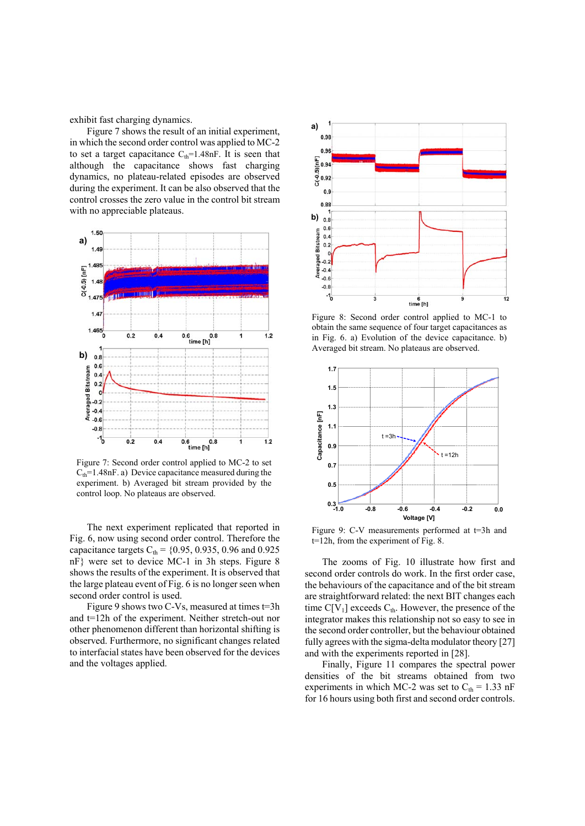exhibit fast charging dynamics.

Figure 7 shows the result of an initial experiment, in which the second order control was applied to MC-2 to set a target capacitance  $C_{th}$ =1.48nF. It is seen that although the capacitance shows fast charging dynamics, no plateau-related episodes are observed during the experiment. It can be also observed that the control crosses the zero value in the control bit stream with no appreciable plateaus.



Figure 7: Second order control applied to MC-2 to set  $C<sub>th</sub>=1.48$ nF. a) Device capacitance measured during the experiment. b) Averaged bit stream provided by the control loop. No plateaus are observed.

The next experiment replicated that reported in Fig. 6, now using second order control. Therefore the capacitance targets  $C_{\text{th}} = \{0.95, 0.935, 0.96 \text{ and } 0.925\}$ nF} were set to device MC-1 in 3h steps. Figure 8 shows the results of the experiment. It is observed that the large plateau event of Fig. 6 is no longer seen when second order control is used.

Figure 9 shows two C-Vs, measured at times t=3h and t=12h of the experiment. Neither stretch-out nor other phenomenon different than horizontal shifting is observed. Furthermore, no significant changes related to interfacial states have been observed for the devices and the voltages applied.



Figure 8: Second order control applied to MC-1 to obtain the same sequence of four target capacitances as in Fig. 6. a) Evolution of the device capacitance. b) Averaged bit stream. No plateaus are observed.



Figure 9: C-V measurements performed at t=3h and t=12h, from the experiment of Fig. 8.

The zooms of Fig. 10 illustrate how first and second order controls do work. In the first order case, the behaviours of the capacitance and of the bit stream are straightforward related: the next BIT changes each time  $C[V_1]$  exceeds  $C_{th}$ . However, the presence of the integrator makes this relationship not so easy to see in the second order controller, but the behaviour obtained fully agrees with the sigma-delta modulator theory [27] and with the experiments reported in [28].

Finally, Figure 11 compares the spectral power densities of the bit streams obtained from two experiments in which MC-2 was set to  $C_{th} = 1.33$  nF for 16 hours using both first and second order controls.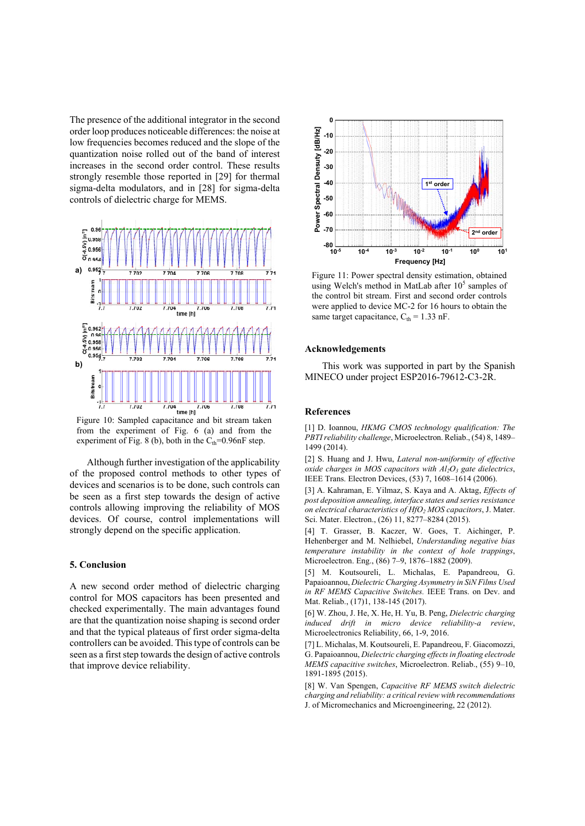The presence of the additional integrator in the second order loop produces noticeable differences: the noise at low frequencies becomes reduced and the slope of the quantization noise rolled out of the band of interest increases in the second order control. These results strongly resemble those reported in [29] for thermal sigma-delta modulators, and in [28] for sigma-delta controls of dielectric charge for MEMS.



Figure 10: Sampled capacitance and bit stream taken from the experiment of Fig. 6 (a) and from the experiment of Fig. 8 (b), both in the  $C_{th}$ =0.96nF step.

Although further investigation of the applicability of the proposed control methods to other types of devices and scenarios is to be done, such controls can be seen as a first step towards the design of active controls allowing improving the reliability of MOS devices. Of course, control implementations will strongly depend on the specific application.

#### **5. Conclusion**

A new second order method of dielectric charging control for MOS capacitors has been presented and checked experimentally. The main advantages found are that the quantization noise shaping is second order and that the typical plateaus of first order sigma-delta controllers can be avoided. This type of controls can be seen as a first step towards the design of active controls that improve device reliability.



Figure 11: Power spectral density estimation, obtained using Welch's method in MatLab after  $10<sup>5</sup>$  samples of the control bit stream. First and second order controls were applied to device MC-2 for 16 hours to obtain the same target capacitance,  $C_{th} = 1.33$  nF.

#### **Acknowledgements**

This work was supported in part by the Spanish MINECO under project ESP2016-79612-C3-2R.

#### **References**

[1] D. Ioannou, *HKMG CMOS technology qualification: The PBTI reliability challenge*, Microelectron. Reliab., (54) 8, 1489– 1499 (2014).

[2] S. Huang and J. Hwu, *Lateral non-uniformity of effective oxide charges in MOS capacitors with Al<sub>2</sub>O<sub>3</sub> gate dielectrics,* IEEE Trans. Electron Devices, (53) 7, 1608–1614 (2006).

[3] A. Kahraman, E. Yilmaz, S. Kaya and A. Aktag, *Effects of post deposition annealing, interface states and series resistance on electrical characteristics of HfO2 MOS capacitors*, J. Mater. Sci. Mater. Electron., (26) 11, 8277–8284 (2015).

[4] T. Grasser, B. Kaczer, W. Goes, T. Aichinger, P. Hehenberger and M. Nelhiebel, *Understanding negative bias temperature instability in the context of hole trappings*, Microelectron. Eng., (86) 7–9, 1876–1882 (2009).

[5] M. Koutsoureli, L. Michalas, E. Papandreou, G. Papaioannou, *Dielectric Charging Asymmetry in SiN Films Used in RF MEMS Capacitive Switches.* IEEE Trans. on Dev. and Mat. Reliab., (17)1, 138-145 (2017).

[6] W. Zhou, J. He, X. He, H. Yu, B. Peng, *Dielectric charging induced drift in micro device reliability-a review*, Microelectronics Reliability, 66, 1-9, 2016.

[7] L. Michalas, M. Koutsoureli, E. Papandreou, F. Giacomozzi, G. Papaioannou, *Dielectric charging effects in floating electrode MEMS capacitive switches*, Microelectron. Reliab., (55) 9–10, 1891-1895 (2015).

[8] W. Van Spengen, *Capacitive RF MEMS switch dielectric charging and reliability: a critical review with recommendations* J. of Micromechanics and Microengineering, 22 (2012).